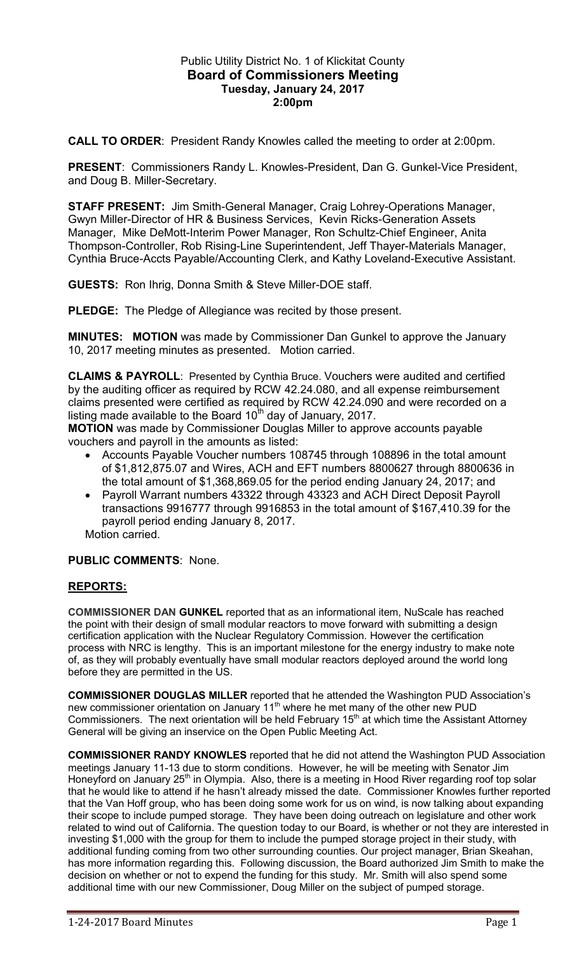## Public Utility District No. 1 of Klickitat County **Board of Commissioners Meeting Tuesday, January 24, 2017 2:00pm**

**CALL TO ORDER**: President Randy Knowles called the meeting to order at 2:00pm.

**PRESENT**: Commissioners Randy L. Knowles-President, Dan G. Gunkel-Vice President, and Doug B. Miller-Secretary.

**STAFF PRESENT:** Jim Smith-General Manager, Craig Lohrey-Operations Manager, Gwyn Miller-Director of HR & Business Services, Kevin Ricks-Generation Assets Manager, Mike DeMott-Interim Power Manager, Ron Schultz-Chief Engineer, Anita Thompson-Controller, Rob Rising-Line Superintendent, Jeff Thayer-Materials Manager, Cynthia Bruce-Accts Payable/Accounting Clerk, and Kathy Loveland-Executive Assistant.

**GUESTS:** Ron Ihrig, Donna Smith & Steve Miller-DOE staff.

**PLEDGE:** The Pledge of Allegiance was recited by those present.

**MINUTES: MOTION** was made by Commissioner Dan Gunkel to approve the January 10, 2017 meeting minutes as presented. Motion carried.

**CLAIMS & PAYROLL**: Presented by Cynthia Bruce. Vouchers were audited and certified by the auditing officer as required by RCW 42.24.080, and all expense reimbursement claims presented were certified as required by RCW 42.24.090 and were recorded on a listing made available to the Board  $10<sup>th</sup>$  day of January, 2017.

**MOTION** was made by Commissioner Douglas Miller to approve accounts payable vouchers and payroll in the amounts as listed:

- Accounts Payable Voucher numbers 108745 through 108896 in the total amount of \$1,812,875.07 and Wires, ACH and EFT numbers 8800627 through 8800636 in the total amount of \$1,368,869.05 for the period ending January 24, 2017; and
- Payroll Warrant numbers 43322 through 43323 and ACH Direct Deposit Payroll transactions 9916777 through 9916853 in the total amount of \$167,410.39 for the payroll period ending January 8, 2017.

Motion carried.

# **PUBLIC COMMENTS**: None.

# **REPORTS:**

**COMMISSIONER DAN GUNKEL** reported that as an informational item, NuScale has reached the point with their design of small modular reactors to move forward with submitting a design certification application with the Nuclear Regulatory Commission. However the certification process with NRC is lengthy. This is an important milestone for the energy industry to make note of, as they will probably eventually have small modular reactors deployed around the world long before they are permitted in the US.

**COMMISSIONER DOUGLAS MILLER** reported that he attended the Washington PUD Association's new commissioner orientation on January 11<sup>th</sup> where he met many of the other new PUD Commissioners. The next orientation will be held February  $15<sup>th</sup>$  at which time the Assistant Attorney General will be giving an inservice on the Open Public Meeting Act.

**COMMISSIONER RANDY KNOWLES** reported that he did not attend the Washington PUD Association meetings January 11-13 due to storm conditions. However, he will be meeting with Senator Jim Honeyford on January 25<sup>th</sup> in Olympia. Also, there is a meeting in Hood River regarding roof top solar that he would like to attend if he hasn't already missed the date. Commissioner Knowles further reported that the Van Hoff group, who has been doing some work for us on wind, is now talking about expanding their scope to include pumped storage. They have been doing outreach on legislature and other work related to wind out of California. The question today to our Board, is whether or not they are interested in investing \$1,000 with the group for them to include the pumped storage project in their study, with additional funding coming from two other surrounding counties. Our project manager, Brian Skeahan, has more information regarding this. Following discussion, the Board authorized Jim Smith to make the decision on whether or not to expend the funding for this study. Mr. Smith will also spend some additional time with our new Commissioner, Doug Miller on the subject of pumped storage.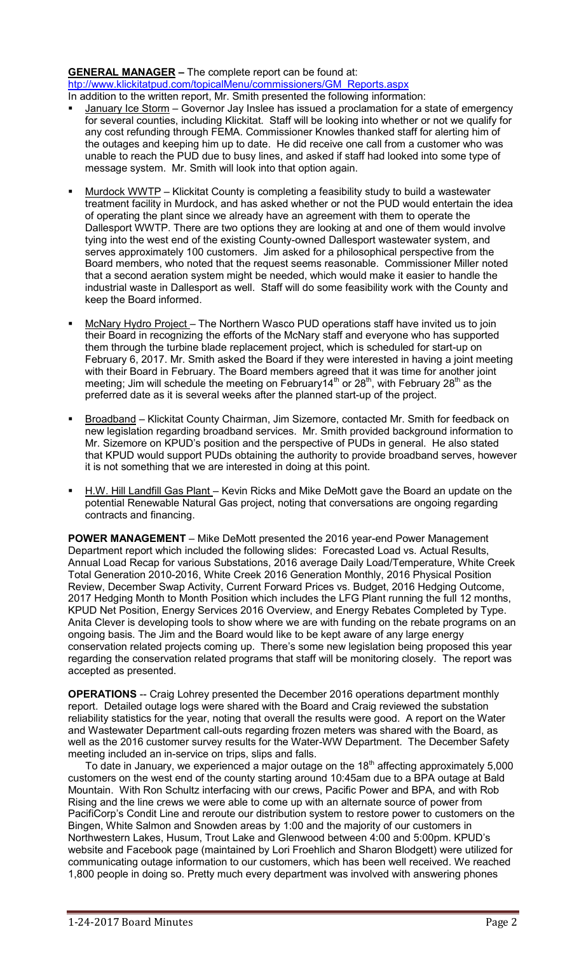#### **GENERAL MANAGER –** The complete report can be found at: [htp://www.klickitatpud.com/topicalMenu/commissioners/GM\\_Reports.aspx](http://www.klickitatpud.com/topicalMenu/commissioners/GM_Reports.aspx)  In addition to the written report, Mr. Smith presented the following information:

- January Ice Storm Governor Jay Inslee has issued a proclamation for a state of emergency for several counties, including Klickitat. Staff will be looking into whether or not we qualify for any cost refunding through FEMA. Commissioner Knowles thanked staff for alerting him of the outages and keeping him up to date. He did receive one call from a customer who was unable to reach the PUD due to busy lines, and asked if staff had looked into some type of message system. Mr. Smith will look into that option again.
- Murdock WWTP Klickitat County is completing a feasibility study to build a wastewater treatment facility in Murdock, and has asked whether or not the PUD would entertain the idea of operating the plant since we already have an agreement with them to operate the Dallesport WWTP. There are two options they are looking at and one of them would involve tying into the west end of the existing County-owned Dallesport wastewater system, and serves approximately 100 customers. Jim asked for a philosophical perspective from the Board members, who noted that the request seems reasonable. Commissioner Miller noted that a second aeration system might be needed, which would make it easier to handle the industrial waste in Dallesport as well. Staff will do some feasibility work with the County and keep the Board informed.
- McNary Hydro Project The Northern Wasco PUD operations staff have invited us to join their Board in recognizing the efforts of the McNary staff and everyone who has supported them through the turbine blade replacement project, which is scheduled for start-up on February 6, 2017. Mr. Smith asked the Board if they were interested in having a joint meeting with their Board in February. The Board members agreed that it was time for another joint meeting; Jim will schedule the meeting on February  $14<sup>th</sup>$  or  $28<sup>th</sup>$ , with February  $28<sup>th</sup>$  as the preferred date as it is several weeks after the planned start-up of the project.
- Broadband Klickitat County Chairman, Jim Sizemore, contacted Mr. Smith for feedback on new legislation regarding broadband services. Mr. Smith provided background information to Mr. Sizemore on KPUD's position and the perspective of PUDs in general. He also stated that KPUD would support PUDs obtaining the authority to provide broadband serves, however it is not something that we are interested in doing at this point.
- H.W. Hill Landfill Gas Plant Kevin Ricks and Mike DeMott gave the Board an update on the potential Renewable Natural Gas project, noting that conversations are ongoing regarding contracts and financing.

**POWER MANAGEMENT** – Mike DeMott presented the 2016 year-end Power Management Department report which included the following slides: Forecasted Load vs. Actual Results, Annual Load Recap for various Substations, 2016 average Daily Load/Temperature, White Creek Total Generation 2010-2016, White Creek 2016 Generation Monthly, 2016 Physical Position Review, December Swap Activity, Current Forward Prices vs. Budget, 2016 Hedging Outcome, 2017 Hedging Month to Month Position which includes the LFG Plant running the full 12 months, KPUD Net Position, Energy Services 2016 Overview, and Energy Rebates Completed by Type. Anita Clever is developing tools to show where we are with funding on the rebate programs on an ongoing basis. The Jim and the Board would like to be kept aware of any large energy conservation related projects coming up. There's some new legislation being proposed this year regarding the conservation related programs that staff will be monitoring closely. The report was accepted as presented.

**OPERATIONS** -- Craig Lohrey presented the December 2016 operations department monthly report. Detailed outage logs were shared with the Board and Craig reviewed the substation reliability statistics for the year, noting that overall the results were good. A report on the Water and Wastewater Department call-outs regarding frozen meters was shared with the Board, as well as the 2016 customer survey results for the Water-WW Department. The December Safety meeting included an in-service on trips, slips and falls.

To date in January, we experienced a major outage on the  $18<sup>th</sup>$  affecting approximately 5,000 customers on the west end of the county starting around 10:45am due to a BPA outage at Bald Mountain. With Ron Schultz interfacing with our crews, Pacific Power and BPA, and with Rob Rising and the line crews we were able to come up with an alternate source of power from PacifiCorp's Condit Line and reroute our distribution system to restore power to customers on the Bingen, White Salmon and Snowden areas by 1:00 and the majority of our customers in Northwestern Lakes, Husum, Trout Lake and Glenwood between 4:00 and 5:00pm. KPUD's website and Facebook page (maintained by Lori Froehlich and Sharon Blodgett) were utilized for communicating outage information to our customers, which has been well received. We reached 1,800 people in doing so. Pretty much every department was involved with answering phones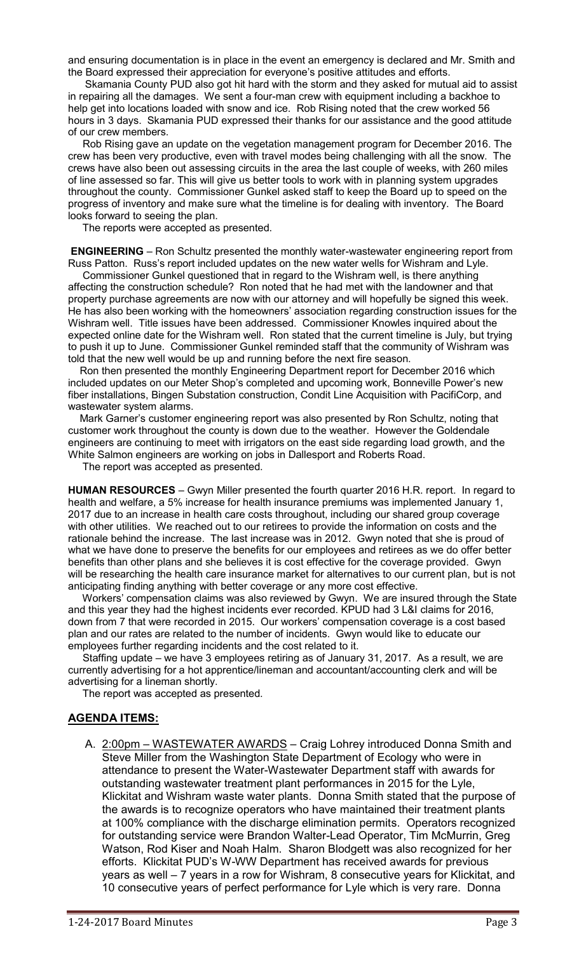and ensuring documentation is in place in the event an emergency is declared and Mr. Smith and the Board expressed their appreciation for everyone's positive attitudes and efforts.

 Skamania County PUD also got hit hard with the storm and they asked for mutual aid to assist in repairing all the damages. We sent a four-man crew with equipment including a backhoe to help get into locations loaded with snow and ice. Rob Rising noted that the crew worked 56 hours in 3 days. Skamania PUD expressed their thanks for our assistance and the good attitude of our crew members.

 Rob Rising gave an update on the vegetation management program for December 2016. The crew has been very productive, even with travel modes being challenging with all the snow. The crews have also been out assessing circuits in the area the last couple of weeks, with 260 miles of line assessed so far. This will give us better tools to work with in planning system upgrades throughout the county. Commissioner Gunkel asked staff to keep the Board up to speed on the progress of inventory and make sure what the timeline is for dealing with inventory. The Board looks forward to seeing the plan.

The reports were accepted as presented.

**ENGINEERING** – Ron Schultz presented the monthly water-wastewater engineering report from Russ Patton. Russ's report included updates on the new water wells for Wishram and Lyle.

 Commissioner Gunkel questioned that in regard to the Wishram well, is there anything affecting the construction schedule? Ron noted that he had met with the landowner and that property purchase agreements are now with our attorney and will hopefully be signed this week. He has also been working with the homeowners' association regarding construction issues for the Wishram well. Title issues have been addressed. Commissioner Knowles inquired about the expected online date for the Wishram well. Ron stated that the current timeline is July, but trying to push it up to June. Commissioner Gunkel reminded staff that the community of Wishram was told that the new well would be up and running before the next fire season.

 Ron then presented the monthly Engineering Department report for December 2016 which included updates on our Meter Shop's completed and upcoming work, Bonneville Power's new fiber installations, Bingen Substation construction, Condit Line Acquisition with PacifiCorp, and wastewater system alarms.

 Mark Garner's customer engineering report was also presented by Ron Schultz, noting that customer work throughout the county is down due to the weather. However the Goldendale engineers are continuing to meet with irrigators on the east side regarding load growth, and the White Salmon engineers are working on jobs in Dallesport and Roberts Road.

The report was accepted as presented.

**HUMAN RESOURCES** – Gwyn Miller presented the fourth quarter 2016 H.R. report. In regard to health and welfare, a 5% increase for health insurance premiums was implemented January 1, 2017 due to an increase in health care costs throughout, including our shared group coverage with other utilities. We reached out to our retirees to provide the information on costs and the rationale behind the increase. The last increase was in 2012. Gwyn noted that she is proud of what we have done to preserve the benefits for our employees and retirees as we do offer better benefits than other plans and she believes it is cost effective for the coverage provided. Gwyn will be researching the health care insurance market for alternatives to our current plan, but is not anticipating finding anything with better coverage or any more cost effective.

 Workers' compensation claims was also reviewed by Gwyn. We are insured through the State and this year they had the highest incidents ever recorded. KPUD had 3 L&I claims for 2016, down from 7 that were recorded in 2015. Our workers' compensation coverage is a cost based plan and our rates are related to the number of incidents. Gwyn would like to educate our employees further regarding incidents and the cost related to it.

 Staffing update – we have 3 employees retiring as of January 31, 2017. As a result, we are currently advertising for a hot apprentice/lineman and accountant/accounting clerk and will be advertising for a lineman shortly.

The report was accepted as presented.

## **AGENDA ITEMS:**

A. 2:00pm - WASTEWATER AWARDS - Craig Lohrey introduced Donna Smith and Steve Miller from the Washington State Department of Ecology who were in attendance to present the Water-Wastewater Department staff with awards for outstanding wastewater treatment plant performances in 2015 for the Lyle, Klickitat and Wishram waste water plants. Donna Smith stated that the purpose of the awards is to recognize operators who have maintained their treatment plants at 100% compliance with the discharge elimination permits. Operators recognized for outstanding service were Brandon Walter-Lead Operator, Tim McMurrin, Greg Watson, Rod Kiser and Noah Halm. Sharon Blodgett was also recognized for her efforts. Klickitat PUD's W-WW Department has received awards for previous years as well – 7 years in a row for Wishram, 8 consecutive years for Klickitat, and 10 consecutive years of perfect performance for Lyle which is very rare. Donna